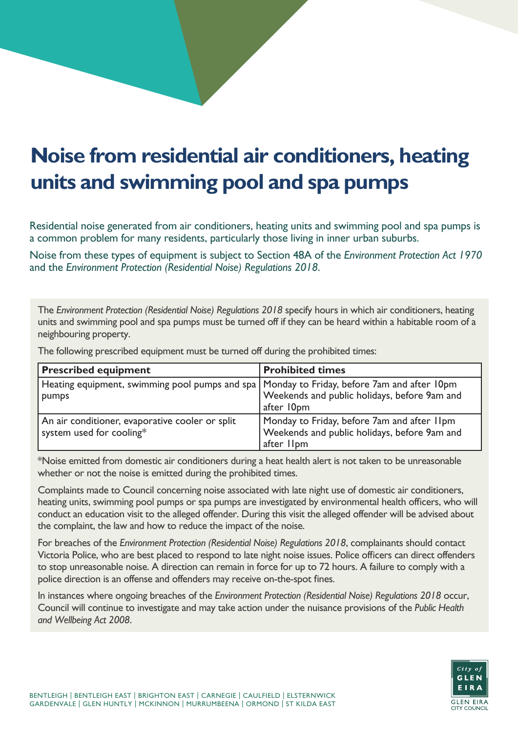## **Noise from residential air conditioners, heating units and swimming pool and spa pumps**

Residential noise generated from air conditioners, heating units and swimming pool and spa pumps is a common problem for many residents, particularly those living in inner urban suburbs.

Noise from these types of equipment is subject to Section 48A of the *Environment Protection Act 1970* and the *Environment Protection (Residential Noise) Regulations 2018*.

The *Environment Protection (Residential Noise) Regulations 2018* specify hours in which air conditioners, heating units and swimming pool and spa pumps must be turned off if they can be heard within a habitable room of a neighbouring property.

The following prescribed equipment must be turned off during the prohibited times:

| <b>Prescribed equipment</b>                                                                           | <b>Prohibited times</b>                                                                                   |
|-------------------------------------------------------------------------------------------------------|-----------------------------------------------------------------------------------------------------------|
| Heating equipment, swimming pool pumps and spa   Monday to Friday, before 7am and after 10pm<br>pumps | Weekends and public holidays, before 9am and<br>after 10pm                                                |
| An air conditioner, evaporative cooler or split<br>system used for cooling*                           | Monday to Friday, before 7am and after 11pm<br>Weekends and public holidays, before 9am and<br>after IIpm |

\*Noise emitted from domestic air conditioners during a heat health alert is not taken to be unreasonable whether or not the noise is emitted during the prohibited times.

Complaints made to Council concerning noise associated with late night use of domestic air conditioners, heating units, swimming pool pumps or spa pumps are investigated by environmental health officers, who will conduct an education visit to the alleged offender. During this visit the alleged offender will be advised about the complaint, the law and how to reduce the impact of the noise.

For breaches of the *Environment Protection (Residential Noise) Regulations 2018*, complainants should contact Victoria Police, who are best placed to respond to late night noise issues. Police officers can direct offenders to stop unreasonable noise. A direction can remain in force for up to 72 hours. A failure to comply with a police direction is an offense and offenders may receive on-the-spot fines.

In instances where ongoing breaches of the *Environment Protection (Residential Noise) Regulations 2018* occur, Council will continue to investigate and may take action under the nuisance provisions of the *Public Health and Wellbeing Act 2008*.